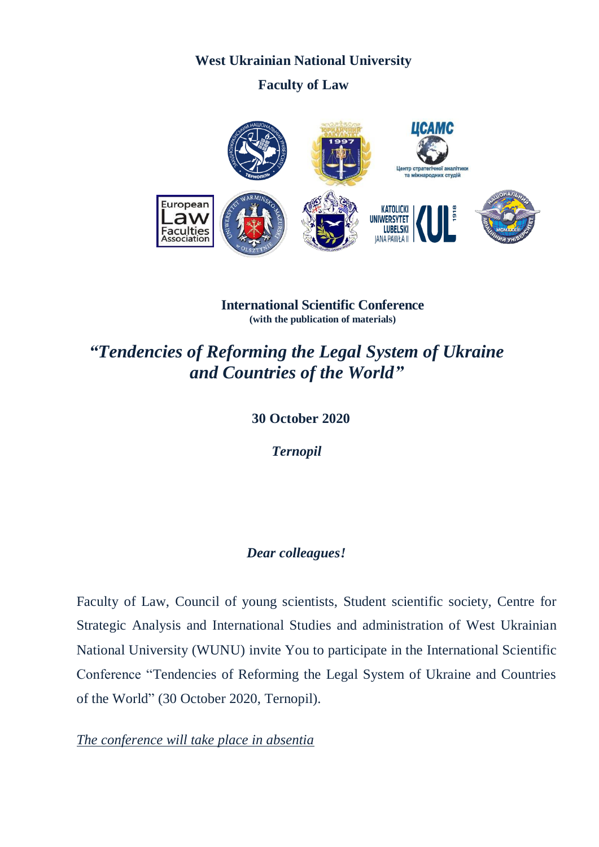# **West Ukrainian National University**

# **Faculty of Law**



**International Scientific Conference (with the publication of materials)**

# *"Tendencies of Reforming the Legal System of Ukraine and Countries of the World"*

## **30 October 2020**

*Ternopil*

# *Dear colleagues!*

Faculty of Law, Council of young scientists, Student scientific society, Centre for Strategic Analysis and International Studies and administration of West Ukrainian National University (WUNU) invite You to participate in the International Scientific Conference "Tendencies of Reforming the Legal System of Ukraine and Countries of the World" (30 October 2020, Ternopil).

*The conference will take place in absentia*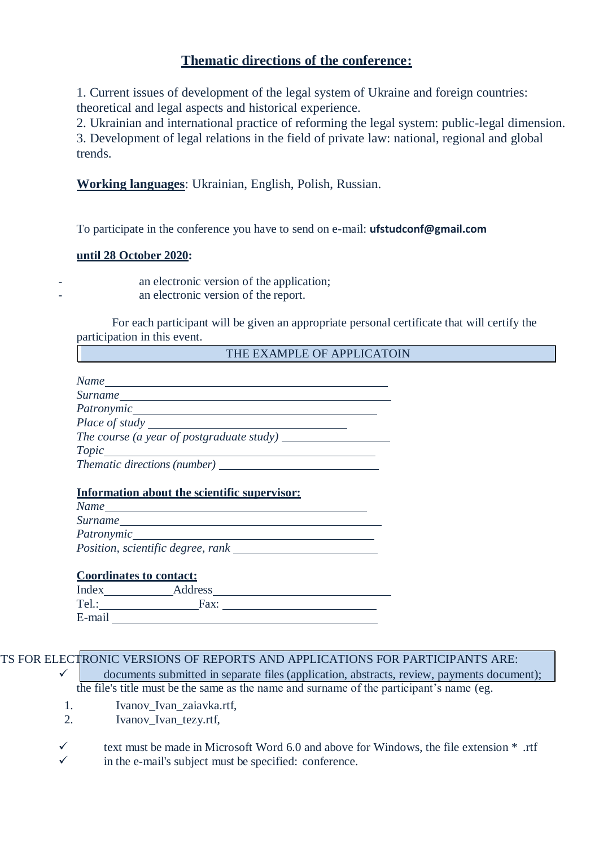## **Thematic directions of the conference:**

1. Current issues of development of the legal system of Ukraine and foreign countries: theoretical and legal aspects and historical experience.

2. Ukrainian and international practice of reforming the legal system: public-legal dimension. 3. Development of legal relations in the field of private law: national, regional and global trends.

**Working languages**: Ukrainian, English, Polish, Russian.

To participate in the conference you have to send on e-mail: **[ufstudconf@gmail.com](mailto:ufstudconf@gmail.com)**

#### **until 28 October 2020:**

an electronic version of the application; an electronic version of the report.

For each participant will be given an appropriate personal certificate that will certify the participation in this event.

THE EXAMPLE OF APPLICATOIN

| Name_____                           |  |
|-------------------------------------|--|
| <i>Surname</i>                      |  |
|                                     |  |
| Place of study                      |  |
|                                     |  |
|                                     |  |
| <i>Thematic directions (number)</i> |  |

## **Information about the scientific supervisor:**

| <u>miorination</u> about the scientific supervisor. |  |  |
|-----------------------------------------------------|--|--|
| <b>Name</b>                                         |  |  |
| Surname                                             |  |  |
| Patronymic                                          |  |  |
| Position, scientific degree, rank                   |  |  |
|                                                     |  |  |

| <b>Coordinates to contact:</b> |  |
|--------------------------------|--|
|                                |  |

| Index  | Address |  |
|--------|---------|--|
| Tel.:  | Fax:    |  |
| E-mail |         |  |

TS FOR ELECTRONIC VERSIONS OF REPORTS AND APPLICATIONS FOR PARTICIPANTS ARE:  $\checkmark$  documents submitted in separate files (application, abstracts, review, payments document);

the file's title must be the same as the name and surname of the participant's name (eg.

- 1. Ivanov Ivan zaiavka.rtf,
- 2. Ivanov\_Ivan\_tezy.rtf,

text must be made in Microsoft Word 6.0 and above for Windows, the file extension  $*$  .rtf in the e-mail's subject must be specified: conference.